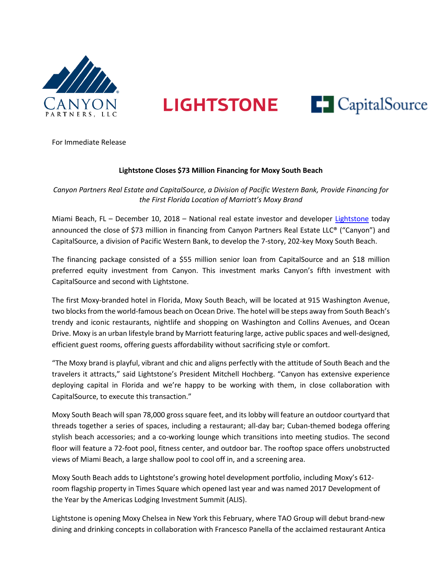

**LIGHTSTONE** 



For Immediate Release

## **Lightstone Closes \$73 Million Financing for Moxy South Beach**

*Canyon Partners Real Estate and CapitalSource, a Division of Pacific Western Bank, Provide Financing for the First Florida Location of Marriott's Moxy Brand* 

Miami Beach, FL – December 10, 2018 – National real estate investor and developer [Lightstone](http://www.lightstonegroup.com/) today announced the close of \$73 million in financing from Canyon Partners Real Estate LLC® ("Canyon") and CapitalSource, a division of Pacific Western Bank, to develop the 7-story, 202-key Moxy South Beach.

The financing package consisted of a \$55 million senior loan from CapitalSource and an \$18 million preferred equity investment from Canyon. This investment marks Canyon's fifth investment with CapitalSource and second with Lightstone.

The first Moxy-branded hotel in Florida, Moxy South Beach, will be located at 915 Washington Avenue, two blocks from the world-famous beach on Ocean Drive. The hotel will be steps away from South Beach's trendy and iconic restaurants, nightlife and shopping on Washington and Collins Avenues, and Ocean Drive. Moxy is an urban lifestyle brand by Marriott featuring large, active public spaces and well-designed, efficient guest rooms, offering guests affordability without sacrificing style or comfort.

"The Moxy brand is playful, vibrant and chic and aligns perfectly with the attitude of South Beach and the travelers it attracts," said Lightstone's President Mitchell Hochberg. "Canyon has extensive experience deploying capital in Florida and we're happy to be working with them, in close collaboration with CapitalSource, to execute this transaction."

Moxy South Beach will span 78,000 gross square feet, and its lobby will feature an outdoor courtyard that threads together a series of spaces, including a restaurant; all-day bar; Cuban-themed bodega offering stylish beach accessories; and a co-working lounge which transitions into meeting studios. The second floor will feature a 72-foot pool, fitness center, and outdoor bar. The rooftop space offers unobstructed views of Miami Beach, a large shallow pool to cool off in, and a screening area.

Moxy South Beach adds to Lightstone's growing hotel development portfolio, including Moxy's 612 room flagship property in Times Square which opened last year and was named 2017 Development of the Year by the Americas Lodging Investment Summit (ALIS).

Lightstone is opening Moxy Chelsea in New York this February, where TAO Group will debut brand-new dining and drinking concepts in collaboration with Francesco Panella of the acclaimed restaurant Antica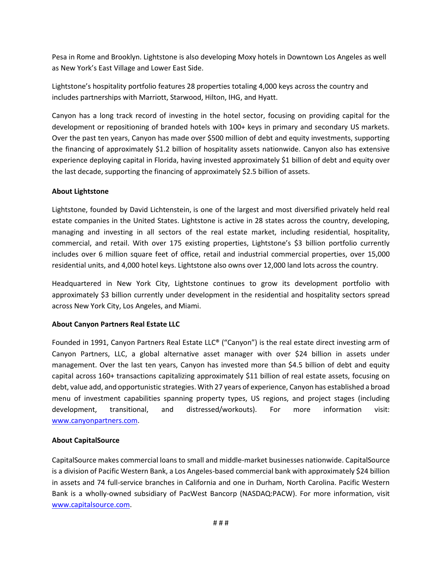Pesa in Rome and Brooklyn. Lightstone is also developing Moxy hotels in Downtown Los Angeles as well as New York's East Village and Lower East Side.

Lightstone's hospitality portfolio features 28 properties totaling 4,000 keys across the country and includes partnerships with Marriott, Starwood, Hilton, IHG, and Hyatt.

Canyon has a long track record of investing in the hotel sector, focusing on providing capital for the development or repositioning of branded hotels with 100+ keys in primary and secondary US markets. Over the past ten years, Canyon has made over \$500 million of debt and equity investments, supporting the financing of approximately \$1.2 billion of hospitality assets nationwide. Canyon also has extensive experience deploying capital in Florida, having invested approximately \$1 billion of debt and equity over the last decade, supporting the financing of approximately \$2.5 billion of assets.

## **About Lightstone**

Lightstone, founded by David Lichtenstein, is one of the largest and most diversified privately held real estate companies in the United States. Lightstone is active in 28 states across the country, developing, managing and investing in all sectors of the real estate market, including residential, hospitality, commercial, and retail. With over 175 existing properties, Lightstone's \$3 billion portfolio currently includes over 6 million square feet of office, retail and industrial commercial properties, over 15,000 residential units, and 4,000 hotel keys. Lightstone also owns over 12,000 land lots across the country.

Headquartered in New York City, Lightstone continues to grow its development portfolio with approximately \$3 billion currently under development in the residential and hospitality sectors spread across New York City, Los Angeles, and Miami.

## **About Canyon Partners Real Estate LLC**

Founded in 1991, Canyon Partners Real Estate LLC® ("Canyon") is the real estate direct investing arm of Canyon Partners, LLC, a global alternative asset manager with over \$24 billion in assets under management. Over the last ten years, Canyon has invested more than \$4.5 billion of debt and equity capital across 160+ transactions capitalizing approximately \$11 billion of real estate assets, focusing on debt, value add, and opportunistic strategies. With 27 years of experience, Canyon has established a broad menu of investment capabilities spanning property types, US regions, and project stages (including development, transitional, and distressed/workouts). For more information visit: [www.canyonpartners.com.](http://www.canyonpartners.com/)

## **About CapitalSource**

CapitalSource makes commercial loans to small and middle-market businesses nationwide. CapitalSource is a division of Pacific Western Bank, a Los Angeles-based commercial bank with approximately \$24 billion in assets and 74 full-service branches in California and one in Durham, North Carolina. Pacific Western Bank is a wholly-owned subsidiary of PacWest Bancorp (NASDAQ:PACW). For more information, visit [www.capitalsource.com.](http://www.capitalsource.com/)